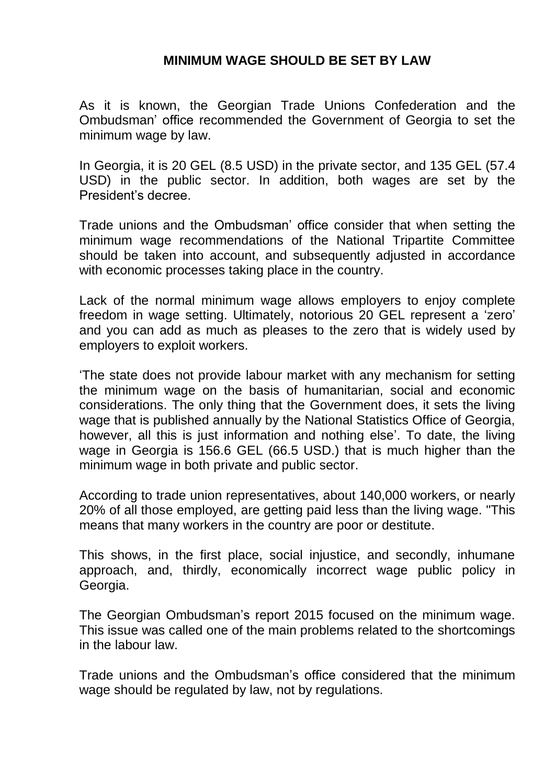## **MINIMUM WAGE SHOULD BE SET BY LAW**

As it is known, the Georgian Trade Unions Confederation and the Ombudsman' office recommended the Government of Georgia to set the minimum wage by law.

In Georgia, it is 20 GEL (8.5 USD) in the private sector, and 135 GEL (57.4 USD) in the public sector. In addition, both wages are set by the President's decree.

Trade unions and the Ombudsman' office consider that when setting the minimum wage recommendations of the National Tripartite Committee should be taken into account, and subsequently adjusted in accordance with economic processes taking place in the country.

Lack of the normal minimum wage allows employers to enjoy complete freedom in wage setting. Ultimately, notorious 20 GEL represent a 'zero' and you can add as much as pleases to the zero that is widely used by employers to exploit workers.

'The state does not provide labour market with any mechanism for setting the minimum wage on the basis of humanitarian, social and economic considerations. The only thing that the Government does, it sets the living wage that is published annually by the National Statistics Office of Georgia, however, all this is just information and nothing else'. To date, the living wage in Georgia is 156.6 GEL (66.5 USD.) that is much higher than the minimum wage in both private and public sector.

According to trade union representatives, about 140,000 workers, or nearly 20% of all those employed, are getting paid less than the living wage. "This means that many workers in the country are poor or destitute.

This shows, in the first place, social injustice, and secondly, inhumane approach, and, thirdly, economically incorrect wage public policy in Georgia.

The Georgian Ombudsman's report 2015 focused on the minimum wage. This issue was called one of the main problems related to the shortcomings in the labour law.

Trade unions and the Ombudsman's office considered that the minimum wage should be regulated by law, not by regulations.